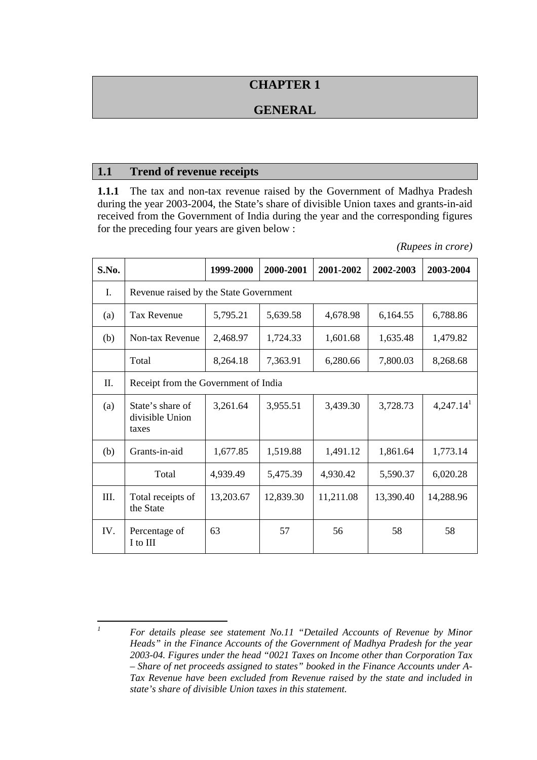# **CHAPTER 1**

# **GENERAL**

#### **1.1 Trend of revenue receipts**

**1.1.1** The tax and non-tax revenue raised by the Government of Madhya Pradesh during the year 2003-2004, the State's share of divisible Union taxes and grants-in-aid received from the Government of India during the year and the corresponding figures for the preceding four years are given below :

| S.No. |                                              | 1999-2000 | 2000-2001 | 2001-2002 | 2002-2003 | 2003-2004             |
|-------|----------------------------------------------|-----------|-----------|-----------|-----------|-----------------------|
| Ι.    | Revenue raised by the State Government       |           |           |           |           |                       |
| (a)   | Tax Revenue                                  | 5,795.21  | 5,639.58  | 4,678.98  | 6,164.55  | 6,788.86              |
| (b)   | Non-tax Revenue                              | 2,468.97  | 1,724.33  | 1,601.68  | 1,635.48  | 1,479.82              |
|       | Total                                        | 8,264.18  | 7,363.91  | 6,280.66  | 7,800.03  | 8,268.68              |
| Π.    | Receipt from the Government of India         |           |           |           |           |                       |
| (a)   | State's share of<br>divisible Union<br>taxes | 3,261.64  | 3,955.51  | 3,439.30  | 3,728.73  | 4,247.14 <sup>1</sup> |
| (b)   | Grants-in-aid                                | 1,677.85  | 1,519.88  | 1,491.12  | 1,861.64  | 1,773.14              |
|       | Total                                        | 4,939.49  | 5,475.39  | 4,930.42  | 5,590.37  | 6,020.28              |
| III.  | Total receipts of<br>the State               | 13,203.67 | 12,839.30 | 11,211.08 | 13,390.40 | 14,288.96             |
| IV.   | Percentage of<br>I to III                    | 63        | 57        | 56        | 58        | 58                    |

*(Rupees in crore)* 

 *1 For details please see statement No.11 "Detailed Accounts of Revenue by Minor Heads" in the Finance Accounts of the Government of Madhya Pradesh for the year 2003-04. Figures under the head "0021 Taxes on Income other than Corporation Tax – Share of net proceeds assigned to states" booked in the Finance Accounts under A-Tax Revenue have been excluded from Revenue raised by the state and included in state's share of divisible Union taxes in this statement.*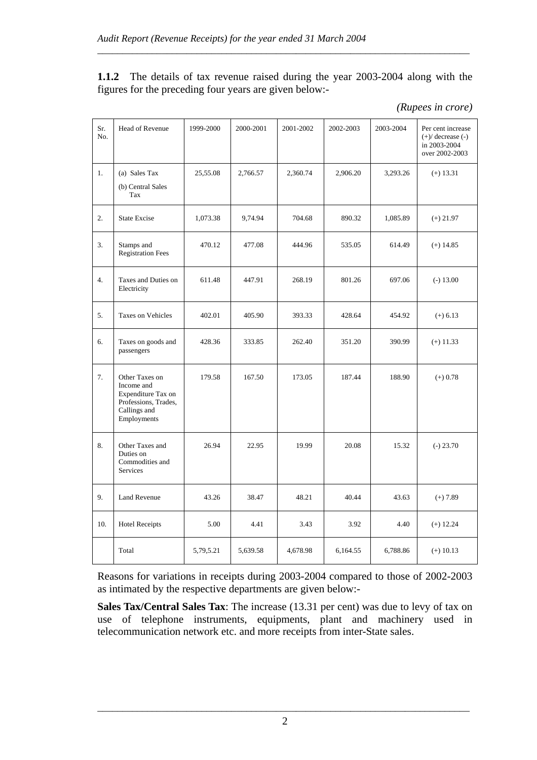**1.1.2** The details of tax revenue raised during the year 2003-2004 along with the figures for the preceding four years are given below:-

\_\_\_\_\_\_\_\_\_\_\_\_\_\_\_\_\_\_\_\_\_\_\_\_\_\_\_\_\_\_\_\_\_\_\_\_\_\_\_\_\_\_\_\_\_\_\_\_\_\_\_\_\_\_\_\_\_\_\_\_\_\_\_\_\_\_\_\_\_\_\_\_\_\_\_

| (Rupees in crore) |  |
|-------------------|--|
|                   |  |

| Sr.<br>No. | Head of Revenue                                                                                           | 1999-2000 | 2000-2001 | 2001-2002 | 2002-2003 | 2003-2004 | Per cent increase<br>$(+)$ decrease $(-)$<br>in 2003-2004<br>over 2002-2003 |
|------------|-----------------------------------------------------------------------------------------------------------|-----------|-----------|-----------|-----------|-----------|-----------------------------------------------------------------------------|
| 1.         | (a) Sales Tax<br>(b) Central Sales<br>Tax                                                                 | 25,55.08  | 2,766.57  | 2,360.74  | 2,906.20  | 3,293.26  | $(+)$ 13.31                                                                 |
| 2.         | <b>State Excise</b>                                                                                       | 1,073.38  | 9,74.94   | 704.68    | 890.32    | 1,085.89  | $(+) 21.97$                                                                 |
| 3.         | Stamps and<br>Registration Fees                                                                           | 470.12    | 477.08    | 444.96    | 535.05    | 614.49    | $(+)$ 14.85                                                                 |
| 4.         | Taxes and Duties on<br>Electricity                                                                        | 611.48    | 447.91    | 268.19    | 801.26    | 697.06    | $(-) 13.00$                                                                 |
| 5.         | <b>Taxes on Vehicles</b>                                                                                  | 402.01    | 405.90    | 393.33    | 428.64    | 454.92    | $(+) 6.13$                                                                  |
| 6.         | Taxes on goods and<br>passengers                                                                          | 428.36    | 333.85    | 262.40    | 351.20    | 390.99    | $(+)$ 11.33                                                                 |
| 7.         | Other Taxes on<br>Income and<br>Expenditure Tax on<br>Professions, Trades,<br>Callings and<br>Employments | 179.58    | 167.50    | 173.05    | 187.44    | 188.90    | $(+) 0.78$                                                                  |
| 8.         | Other Taxes and<br>Duties on<br>Commodities and<br>Services                                               | 26.94     | 22.95     | 19.99     | 20.08     | 15.32     | $(-) 23.70$                                                                 |
| 9.         | <b>Land Revenue</b>                                                                                       | 43.26     | 38.47     | 48.21     | 40.44     | 43.63     | $(+) 7.89$                                                                  |
| 10.        | <b>Hotel Receipts</b>                                                                                     | 5.00      | 4.41      | 3.43      | 3.92      | 4.40      | $(+)$ 12.24                                                                 |
|            | Total                                                                                                     | 5,79,5.21 | 5,639.58  | 4,678.98  | 6,164.55  | 6,788.86  | $(+)$ 10.13                                                                 |

Reasons for variations in receipts during 2003-2004 compared to those of 2002-2003 as intimated by the respective departments are given below:-

**Sales Tax/Central Sales Tax**: The increase (13.31 per cent) was due to levy of tax on use of telephone instruments, equipments, plant and machinery used in telecommunication network etc. and more receipts from inter-State sales.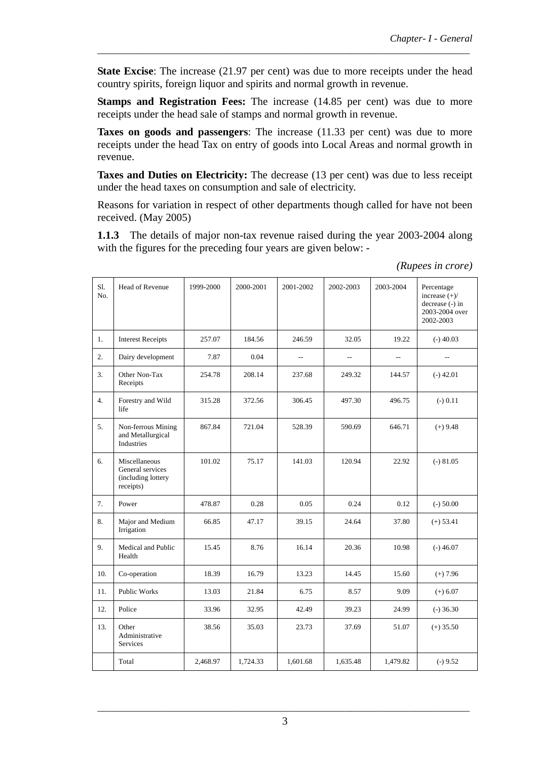**State Excise**: The increase (21.97 per cent) was due to more receipts under the head country spirits, foreign liquor and spirits and normal growth in revenue.

\_\_\_\_\_\_\_\_\_\_\_\_\_\_\_\_\_\_\_\_\_\_\_\_\_\_\_\_\_\_\_\_\_\_\_\_\_\_\_\_\_\_\_\_\_\_\_\_\_\_\_\_\_\_\_\_\_\_\_\_\_\_\_\_\_\_\_\_\_\_\_\_\_\_\_

**Stamps and Registration Fees:** The increase (14.85 per cent) was due to more receipts under the head sale of stamps and normal growth in revenue.

**Taxes on goods and passengers**: The increase (11.33 per cent) was due to more receipts under the head Tax on entry of goods into Local Areas and normal growth in revenue.

**Taxes and Duties on Electricity:** The decrease (13 per cent) was due to less receipt under the head taxes on consumption and sale of electricity.

Reasons for variation in respect of other departments though called for have not been received. (May 2005)

**1.1.3** The details of major non-tax revenue raised during the year 2003-2004 along with the figures for the preceding four years are given below: -

 *(Rupees in crore)*

| S1.<br>No. | Head of Revenue                                                      | 1999-2000 | 2000-2001 | 2001-2002 | 2002-2003                | 2003-2004         | Percentage<br>increase $(+)/$<br>decrease (-) in<br>2003-2004 over<br>2002-2003 |
|------------|----------------------------------------------------------------------|-----------|-----------|-----------|--------------------------|-------------------|---------------------------------------------------------------------------------|
| 1.         | <b>Interest Receipts</b>                                             | 257.07    | 184.56    | 246.59    | 32.05                    | 19.22             | $(-)$ 40.03                                                                     |
| 2.         | Dairy development                                                    | 7.87      | 0.04      | --        | $\overline{\phantom{a}}$ | $\qquad \qquad -$ | $-$                                                                             |
| 3.         | Other Non-Tax<br>Receipts                                            | 254.78    | 208.14    | 237.68    | 249.32                   | 144.57            | $(-)$ 42.01                                                                     |
| 4.         | Forestry and Wild<br>life                                            | 315.28    | 372.56    | 306.45    | 497.30                   | 496.75            | $(-) 0.11$                                                                      |
| 5.         | Non-ferrous Mining<br>and Metallurgical<br>Industries                | 867.84    | 721.04    | 528.39    | 590.69                   | 646.71            | $(+)$ 9.48                                                                      |
| 6.         | Miscellaneous<br>General services<br>(including lottery<br>receipts) | 101.02    | 75.17     | 141.03    | 120.94                   | 22.92             | $(-) 81.05$                                                                     |
| 7.         | Power                                                                | 478.87    | 0.28      | 0.05      | 0.24                     | 0.12              | $(-) 50.00$                                                                     |
| 8.         | Major and Medium<br>Irrigation                                       | 66.85     | 47.17     | 39.15     | 24.64                    | 37.80             | $(+) 53.41$                                                                     |
| 9.         | Medical and Public<br>Health                                         | 15.45     | 8.76      | 16.14     | 20.36                    | 10.98             | $(-)46.07$                                                                      |
| 10.        | Co-operation                                                         | 18.39     | 16.79     | 13.23     | 14.45                    | 15.60             | $(+) 7.96$                                                                      |
| 11.        | <b>Public Works</b>                                                  | 13.03     | 21.84     | 6.75      | 8.57                     | 9.09              | $(+) 6.07$                                                                      |
| 12.        | Police                                                               | 33.96     | 32.95     | 42.49     | 39.23                    | 24.99             | $(-)$ 36.30                                                                     |
| 13.        | Other<br>Administrative<br>Services                                  | 38.56     | 35.03     | 23.73     | 37.69                    | 51.07             | $(+)$ 35.50                                                                     |
|            | Total                                                                | 2,468.97  | 1,724.33  | 1,601.68  | 1,635.48                 | 1,479.82          | $(-) 9.52$                                                                      |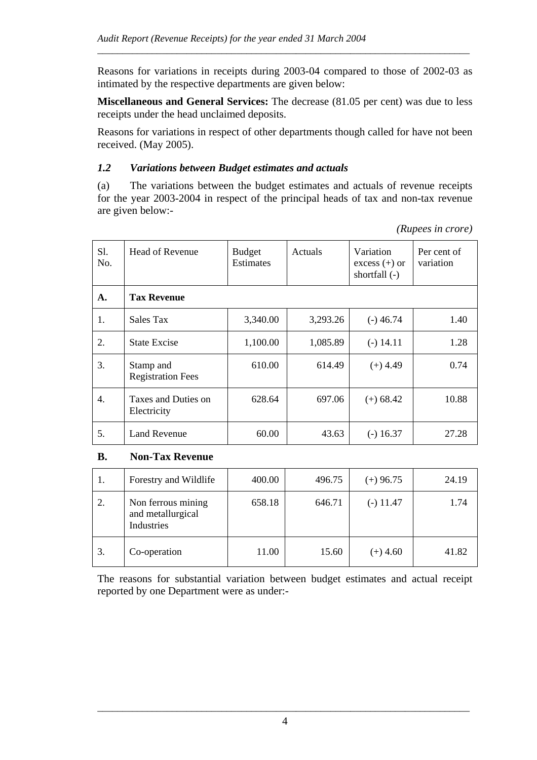Reasons for variations in receipts during 2003-04 compared to those of 2002-03 as intimated by the respective departments are given below:

\_\_\_\_\_\_\_\_\_\_\_\_\_\_\_\_\_\_\_\_\_\_\_\_\_\_\_\_\_\_\_\_\_\_\_\_\_\_\_\_\_\_\_\_\_\_\_\_\_\_\_\_\_\_\_\_\_\_\_\_\_\_\_\_\_\_\_\_\_\_\_\_\_\_\_

**Miscellaneous and General Services:** The decrease (81.05 per cent) was due to less receipts under the head unclaimed deposits.

Reasons for variations in respect of other departments though called for have not been received. (May 2005).

#### *1.2 Variations between Budget estimates and actuals*

(a) The variations between the budget estimates and actuals of revenue receipts for the year 2003-2004 in respect of the principal heads of tax and non-tax revenue are given below:-

| S1.<br>No. | Head of Revenue                       | <b>Budget</b><br>Estimates | Actuals  | Variation<br>$excess (+)$ or<br>shortfall $(-)$ | Per cent of<br>variation |
|------------|---------------------------------------|----------------------------|----------|-------------------------------------------------|--------------------------|
| A.         | <b>Tax Revenue</b>                    |                            |          |                                                 |                          |
| 1.         | Sales Tax                             | 3,340.00                   | 3,293.26 | $(-)$ 46.74                                     | 1.40                     |
| 2.         | <b>State Excise</b>                   | 1,100.00                   | 1,085.89 | $(-) 14.11$                                     | 1.28                     |
| 3.         | Stamp and<br><b>Registration Fees</b> | 610.00                     | 614.49   | $(+)$ 4.49                                      | 0.74                     |
| 4.         | Taxes and Duties on<br>Electricity    | 628.64                     | 697.06   | $(+) 68.42$                                     | 10.88                    |
| 5.         | Land Revenue                          | 60.00                      | 43.63    | $(-)$ 16.37                                     | 27.28                    |

#### *(Rupees in crore)*

#### **B. Non-Tax Revenue**

| 1. | Forestry and Wildlife                                 | 400.00 | 496.75 | $(+)$ 96.75 | 24.19 |
|----|-------------------------------------------------------|--------|--------|-------------|-------|
| 2. | Non ferrous mining<br>and metallurgical<br>Industries | 658.18 | 646.71 | $(-)$ 11.47 | 1.74  |
| 3. | Co-operation                                          | 11.00  | 15.60  | $(+)$ 4.60  | 41.82 |

The reasons for substantial variation between budget estimates and actual receipt reported by one Department were as under:-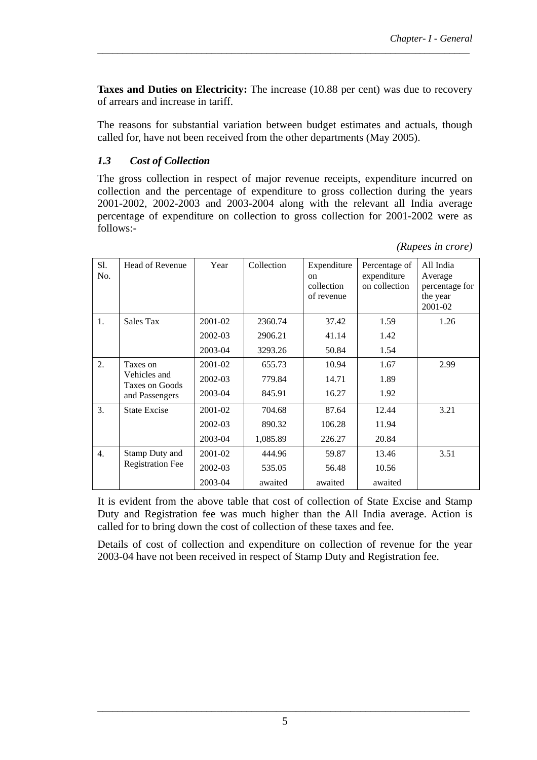**Taxes and Duties on Electricity:** The increase (10.88 per cent) was due to recovery of arrears and increase in tariff.

\_\_\_\_\_\_\_\_\_\_\_\_\_\_\_\_\_\_\_\_\_\_\_\_\_\_\_\_\_\_\_\_\_\_\_\_\_\_\_\_\_\_\_\_\_\_\_\_\_\_\_\_\_\_\_\_\_\_\_\_\_\_\_\_\_\_\_\_\_\_\_\_\_\_\_

The reasons for substantial variation between budget estimates and actuals, though called for, have not been received from the other departments (May 2005).

### *1.3 Cost of Collection*

The gross collection in respect of major revenue receipts, expenditure incurred on collection and the percentage of expenditure to gross collection during the years 2001-2002, 2002-2003 and 2003-2004 along with the relevant all India average percentage of expenditure on collection to gross collection for 2001-2002 were as follows:-

| (Rupees in crore) |  |
|-------------------|--|

| Sl.<br>No. | <b>Head of Revenue</b>         | Year    | Collection | Expenditure<br><sub>on</sub><br>collection<br>of revenue | Percentage of<br>expenditure<br>on collection | All India<br>Average<br>percentage for<br>the year<br>2001-02 |
|------------|--------------------------------|---------|------------|----------------------------------------------------------|-----------------------------------------------|---------------------------------------------------------------|
| 1.         | Sales Tax                      | 2001-02 | 2360.74    | 37.42                                                    | 1.59                                          | 1.26                                                          |
|            |                                | 2002-03 | 2906.21    | 41.14                                                    | 1.42                                          |                                                               |
|            |                                | 2003-04 | 3293.26    | 50.84                                                    | 1.54                                          |                                                               |
| 2.         | Taxes on                       | 2001-02 | 655.73     | 10.94                                                    | 1.67                                          | 2.99                                                          |
|            | Vehicles and<br>Taxes on Goods | 2002-03 | 779.84     | 14.71                                                    | 1.89                                          |                                                               |
|            | and Passengers                 | 2003-04 | 845.91     | 16.27                                                    | 1.92                                          |                                                               |
| 3.         | <b>State Excise</b>            | 2001-02 | 704.68     | 87.64                                                    | 12.44                                         | 3.21                                                          |
|            |                                | 2002-03 | 890.32     | 106.28                                                   | 11.94                                         |                                                               |
|            |                                | 2003-04 | 1,085.89   | 226.27                                                   | 20.84                                         |                                                               |
| 4.         | Stamp Duty and                 | 2001-02 | 444.96     | 59.87                                                    | 13.46                                         | 3.51                                                          |
|            | <b>Registration Fee</b>        | 2002-03 | 535.05     | 56.48                                                    | 10.56                                         |                                                               |
|            |                                | 2003-04 | awaited    | awaited                                                  | awaited                                       |                                                               |

It is evident from the above table that cost of collection of State Excise and Stamp Duty and Registration fee was much higher than the All India average. Action is called for to bring down the cost of collection of these taxes and fee.

Details of cost of collection and expenditure on collection of revenue for the year 2003-04 have not been received in respect of Stamp Duty and Registration fee.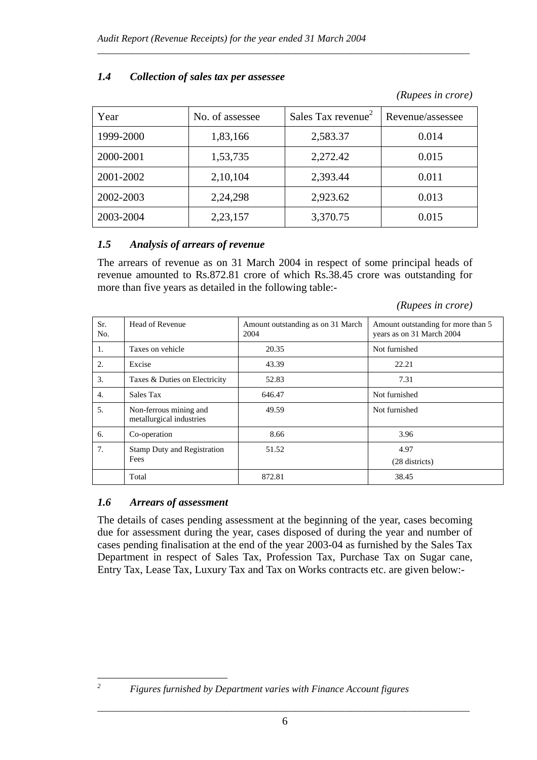| Year      | No. of assessee | Sales Tax revenue <sup>2</sup> | Revenue/assessee |
|-----------|-----------------|--------------------------------|------------------|
| 1999-2000 | 1,83,166        | 2,583.37                       | 0.014            |
| 2000-2001 | 1,53,735        | 2,272.42                       | 0.015            |
| 2001-2002 | 2,10,104        | 2,393.44                       | 0.011            |
| 2002-2003 | 2,24,298        | 2,923.62                       | 0.013            |
| 2003-2004 | 2,23,157        | 3,370.75                       | 0.015            |

\_\_\_\_\_\_\_\_\_\_\_\_\_\_\_\_\_\_\_\_\_\_\_\_\_\_\_\_\_\_\_\_\_\_\_\_\_\_\_\_\_\_\_\_\_\_\_\_\_\_\_\_\_\_\_\_\_\_\_\_\_\_\_\_\_\_\_\_\_\_\_\_\_\_\_

# *1.4 Collection of sales tax per assessee*

### *1.5 Analysis of arrears of revenue*

The arrears of revenue as on 31 March 2004 in respect of some principal heads of revenue amounted to Rs.872.81 crore of which Rs.38.45 crore was outstanding for more than five years as detailed in the following table:-

| Sr.<br>No. | Head of Revenue                                    | Amount outstanding as on 31 March<br>2004 | Amount outstanding for more than 5<br>years as on 31 March 2004 |
|------------|----------------------------------------------------|-------------------------------------------|-----------------------------------------------------------------|
| 1.         | Taxes on vehicle                                   | 20.35                                     | Not furnished                                                   |
| 2.         | Excise                                             | 43.39                                     | 22.21                                                           |
| 3.         | Taxes & Duties on Electricity                      | 52.83                                     | 7.31                                                            |
| 4.         | Sales Tax                                          | 646.47                                    | Not furnished                                                   |
| 5.         | Non-ferrous mining and<br>metallurgical industries | 49.59                                     | Not furnished                                                   |
| 6.         | Co-operation                                       | 8.66                                      | 3.96                                                            |
| 7.         | <b>Stamp Duty and Registration</b><br>Fees         | 51.52                                     | 4.97<br>(28 districts)                                          |
|            | Total                                              | 872.81                                    | 38.45                                                           |

#### *(Rupees in crore)*

 *(Rupees in crore)*

# *1.6 Arrears of assessment*

The details of cases pending assessment at the beginning of the year, cases becoming due for assessment during the year, cases disposed of during the year and number of cases pending finalisation at the end of the year 2003-04 as furnished by the Sales Tax Department in respect of Sales Tax, Profession Tax, Purchase Tax on Sugar cane, Entry Tax, Lease Tax, Luxury Tax and Tax on Works contracts etc. are given below:-

*2*

*Figures furnished by Department varies with Finance Account figures*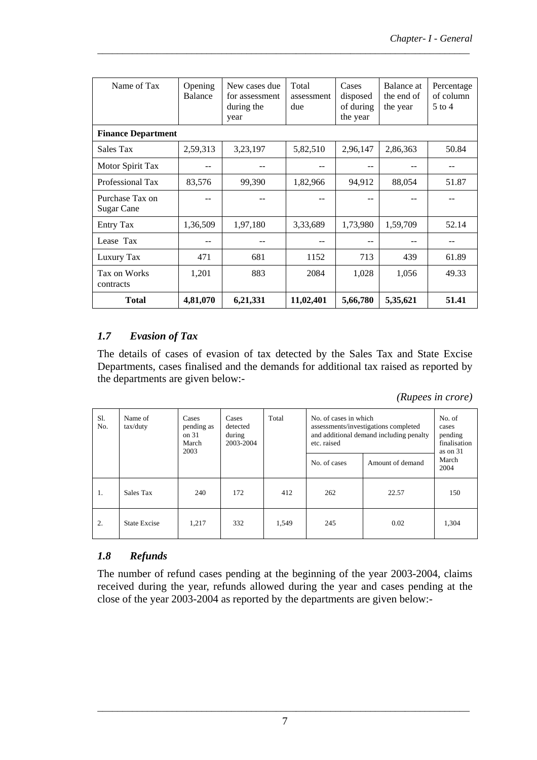| Name of Tax                   | Opening<br>Balance | New cases due<br>for assessment<br>during the<br>year | Total<br>assessment<br>due | Cases<br>disposed<br>of during<br>the year | Balance at<br>the end of<br>the year | Percentage<br>of column<br>$5$ to 4 |
|-------------------------------|--------------------|-------------------------------------------------------|----------------------------|--------------------------------------------|--------------------------------------|-------------------------------------|
| <b>Finance Department</b>     |                    |                                                       |                            |                                            |                                      |                                     |
| Sales Tax                     | 2,59,313           | 3,23,197                                              | 5,82,510                   | 2,96,147                                   | 2,86,363                             | 50.84                               |
| Motor Spirit Tax              |                    |                                                       |                            |                                            |                                      |                                     |
| Professional Tax              | 83,576             | 99,390                                                | 1,82,966                   | 94,912                                     | 88,054                               | 51.87                               |
| Purchase Tax on<br>Sugar Cane |                    |                                                       |                            |                                            |                                      |                                     |
| <b>Entry Tax</b>              | 1,36,509           | 1,97,180                                              | 3,33,689                   | 1,73,980                                   | 1,59,709                             | 52.14                               |
| Lease Tax                     |                    |                                                       |                            |                                            |                                      |                                     |
| Luxury Tax                    | 471                | 681                                                   | 1152                       | 713                                        | 439                                  | 61.89                               |
| Tax on Works<br>contracts     | 1,201              | 883                                                   | 2084                       | 1,028                                      | 1,056                                | 49.33                               |
| <b>Total</b>                  | 4,81,070           | 6,21,331                                              | 11,02,401                  | 5,66,780                                   | 5,35,621                             | 51.41                               |

\_\_\_\_\_\_\_\_\_\_\_\_\_\_\_\_\_\_\_\_\_\_\_\_\_\_\_\_\_\_\_\_\_\_\_\_\_\_\_\_\_\_\_\_\_\_\_\_\_\_\_\_\_\_\_\_\_\_\_\_\_\_\_\_\_\_\_\_\_\_\_\_\_\_\_

# *1.7 Evasion of Tax*

The details of cases of evasion of tax detected by the Sales Tax and State Excise Departments, cases finalised and the demands for additional tax raised as reported by the departments are given below:-

*(Rupees in crore)*

| Sl.<br>No. | Name of<br>tax/duty | Cases<br>pending as<br>on.31<br>March<br>2003 | Cases<br>detected<br>during<br>2003-2004 | Total | No. of cases in which<br>assessments/investigations completed<br>and additional demand including penalty<br>etc. raised |                  | No. of<br>cases<br>pending<br>finalisation<br>as on 31 |
|------------|---------------------|-----------------------------------------------|------------------------------------------|-------|-------------------------------------------------------------------------------------------------------------------------|------------------|--------------------------------------------------------|
|            |                     |                                               |                                          |       | No. of cases                                                                                                            | Amount of demand | March<br>2004                                          |
| 1.         | Sales Tax           | 240                                           | 172                                      | 412   | 262                                                                                                                     | 22.57            | 150                                                    |
| 2.         | <b>State Excise</b> | 1,217                                         | 332                                      | 1,549 | 245                                                                                                                     | 0.02             | 1,304                                                  |

# *1.8 Refunds*

The number of refund cases pending at the beginning of the year 2003-2004, claims received during the year, refunds allowed during the year and cases pending at the close of the year 2003-2004 as reported by the departments are given below:-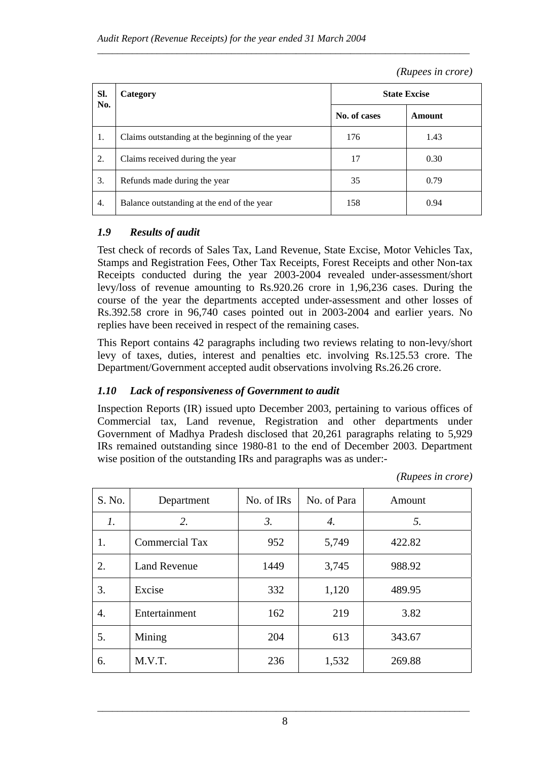#### *(Rupees in crore)*

| SI.<br>No. | Category                                        | <b>State Excise</b> |        |
|------------|-------------------------------------------------|---------------------|--------|
|            |                                                 | No. of cases        | Amount |
| 1.         | Claims outstanding at the beginning of the year | 176                 | 1.43   |
| 2.         | Claims received during the year                 | 17                  | 0.30   |
| 3.         | Refunds made during the year                    | 35                  | 0.79   |
| 4.         | Balance outstanding at the end of the year      | 158                 | 0.94   |

\_\_\_\_\_\_\_\_\_\_\_\_\_\_\_\_\_\_\_\_\_\_\_\_\_\_\_\_\_\_\_\_\_\_\_\_\_\_\_\_\_\_\_\_\_\_\_\_\_\_\_\_\_\_\_\_\_\_\_\_\_\_\_\_\_\_\_\_\_\_\_\_\_\_\_

# *1.9 Results of audit*

Test check of records of Sales Tax, Land Revenue, State Excise, Motor Vehicles Tax, Stamps and Registration Fees, Other Tax Receipts, Forest Receipts and other Non-tax Receipts conducted during the year 2003-2004 revealed under-assessment/short levy/loss of revenue amounting to Rs.920.26 crore in 1,96,236 cases. During the course of the year the departments accepted under-assessment and other losses of Rs.392.58 crore in 96,740 cases pointed out in 2003-2004 and earlier years. No replies have been received in respect of the remaining cases.

This Report contains 42 paragraphs including two reviews relating to non-levy/short levy of taxes, duties, interest and penalties etc. involving Rs.125.53 crore. The Department/Government accepted audit observations involving Rs.26.26 crore.

# *1.10 Lack of responsiveness of Government to audit*

Inspection Reports (IR) issued upto December 2003, pertaining to various offices of Commercial tax, Land revenue, Registration and other departments under Government of Madhya Pradesh disclosed that 20,261 paragraphs relating to 5,929 IRs remained outstanding since 1980-81 to the end of December 2003. Department wise position of the outstanding IRs and paragraphs was as under:-

 *(Rupees in crore)*

| S. No. | Department            | No. of IRs       | No. of Para | Amount |
|--------|-----------------------|------------------|-------------|--------|
| 1.     | 2.                    | $\mathfrak{Z}$ . | 4.          | 5.     |
| 1.     | <b>Commercial Tax</b> | 952              | 5,749       | 422.82 |
| 2.     | <b>Land Revenue</b>   | 1449             | 3,745       | 988.92 |
| 3.     | Excise                | 332              | 1,120       | 489.95 |
| 4.     | Entertainment         | 162              | 219         | 3.82   |
| 5.     | Mining                | 204              | 613         | 343.67 |
| 6.     | M.V.T.                | 236              | 1,532       | 269.88 |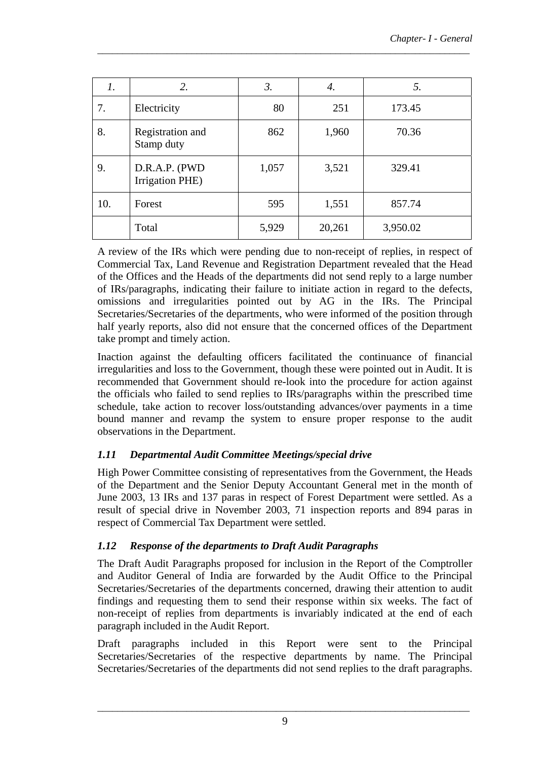| 1.  | 2.                               | $\mathfrak{Z}$ . | 4.     | 5.       |
|-----|----------------------------------|------------------|--------|----------|
| 7.  | Electricity                      | 80               | 251    | 173.45   |
| 8.  | Registration and<br>Stamp duty   | 862              | 1,960  | 70.36    |
| 9.  | D.R.A.P. (PWD<br>Irrigation PHE) | 1,057            | 3,521  | 329.41   |
| 10. | Forest                           | 595              | 1,551  | 857.74   |
|     | Total                            | 5,929            | 20,261 | 3,950.02 |

\_\_\_\_\_\_\_\_\_\_\_\_\_\_\_\_\_\_\_\_\_\_\_\_\_\_\_\_\_\_\_\_\_\_\_\_\_\_\_\_\_\_\_\_\_\_\_\_\_\_\_\_\_\_\_\_\_\_\_\_\_\_\_\_\_\_\_\_\_\_\_\_\_\_\_

A review of the IRs which were pending due to non-receipt of replies, in respect of Commercial Tax, Land Revenue and Registration Department revealed that the Head of the Offices and the Heads of the departments did not send reply to a large number of IRs/paragraphs, indicating their failure to initiate action in regard to the defects, omissions and irregularities pointed out by AG in the IRs. The Principal Secretaries/Secretaries of the departments, who were informed of the position through half yearly reports, also did not ensure that the concerned offices of the Department take prompt and timely action.

Inaction against the defaulting officers facilitated the continuance of financial irregularities and loss to the Government, though these were pointed out in Audit. It is recommended that Government should re-look into the procedure for action against the officials who failed to send replies to IRs/paragraphs within the prescribed time schedule, take action to recover loss/outstanding advances/over payments in a time bound manner and revamp the system to ensure proper response to the audit observations in the Department.

# *1.11 Departmental Audit Committee Meetings/special drive*

High Power Committee consisting of representatives from the Government, the Heads of the Department and the Senior Deputy Accountant General met in the month of June 2003, 13 IRs and 137 paras in respect of Forest Department were settled. As a result of special drive in November 2003, 71 inspection reports and 894 paras in respect of Commercial Tax Department were settled.

# *1.12 Response of the departments to Draft Audit Paragraphs*

The Draft Audit Paragraphs proposed for inclusion in the Report of the Comptroller and Auditor General of India are forwarded by the Audit Office to the Principal Secretaries/Secretaries of the departments concerned, drawing their attention to audit findings and requesting them to send their response within six weeks. The fact of non-receipt of replies from departments is invariably indicated at the end of each paragraph included in the Audit Report.

Draft paragraphs included in this Report were sent to the Principal Secretaries/Secretaries of the respective departments by name. The Principal Secretaries/Secretaries of the departments did not send replies to the draft paragraphs.